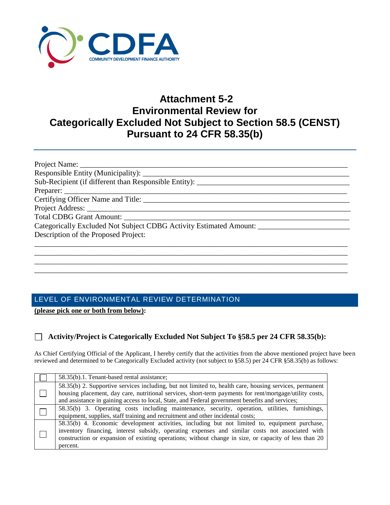

# **Attachment 5-2 Environmental Review for Categorically Excluded Not Subject to Section 58.5 (CENST) Pursuant to 24 CFR 58.35(b)**

| Categorically Excluded Not Subject CDBG Activity Estimated Amount: |
|--------------------------------------------------------------------|
| Description of the Proposed Project:                               |
|                                                                    |
|                                                                    |

\_\_\_\_\_\_\_\_\_\_\_\_\_\_\_\_\_\_\_\_\_\_\_\_\_\_\_\_\_\_\_\_\_\_\_\_\_\_\_\_\_\_\_\_\_\_\_\_\_\_\_\_\_\_\_\_\_\_\_\_\_\_\_\_\_\_\_\_\_\_\_\_\_\_\_\_\_\_\_\_\_\_ \_\_\_\_\_\_\_\_\_\_\_\_\_\_\_\_\_\_\_\_\_\_\_\_\_\_\_\_\_\_\_\_\_\_\_\_\_\_\_\_\_\_\_\_\_\_\_\_\_\_\_\_\_\_\_\_\_\_\_\_\_\_\_\_\_\_\_\_\_\_\_\_\_\_\_\_\_\_\_\_\_\_

# LEVEL OF ENVIRONMENTAL REVIEW DETERMINATION

**(please pick one or both from below):**

## **Activity/Project is Categorically Excluded Not Subject To §58.5 per 24 CFR 58.35(b):**

As Chief Certifying Official of the Applicant, I hereby certify that the activities from the above mentioned project have been reviewed and determined to be Categorically Excluded activity (not subject to §58.5) per 24 CFR §58.35(b) as follows:

| 58.35(b).1. Tenant-based rental assistance;                                                                                                                                                                                                                                                                            |
|------------------------------------------------------------------------------------------------------------------------------------------------------------------------------------------------------------------------------------------------------------------------------------------------------------------------|
| 58.35(b) 2. Supportive services including, but not limited to, health care, housing services, permanent<br>housing placement, day care, nutritional services, short-term payments for rent/mortgage/utility costs,<br>and assistance in gaining access to local, State, and Federal government benefits and services;  |
| 58.35(b) 3. Operating costs including maintenance, security, operation, utilities, furnishings,<br>equipment, supplies, staff training and recruitment and other incidental costs;                                                                                                                                     |
| 58.35(b) 4. Economic development activities, including but not limited to, equipment purchase,<br>inventory financing, interest subsidy, operating expenses and similar costs not associated with<br>construction or expansion of existing operations; without change in size, or capacity of less than 20<br>percent. |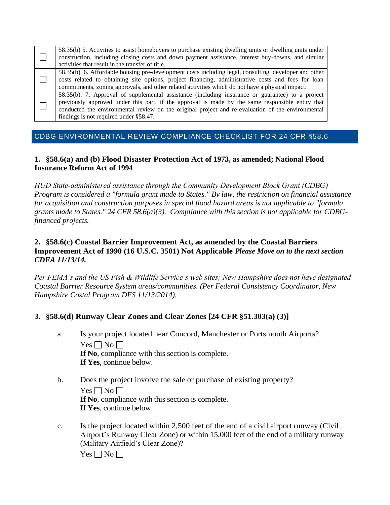| 58.35(b) 5. Activities to assist homebuyers to purchase existing dwelling units or dwelling units under<br>construction, including closing costs and down payment assistance, interest buy-downs, and similar<br>activities that result in the transfer of title.                                                                                   |
|-----------------------------------------------------------------------------------------------------------------------------------------------------------------------------------------------------------------------------------------------------------------------------------------------------------------------------------------------------|
| 58.35(b). 6. Affordable housing pre-development costs including legal, consulting, developer and other<br>costs related to obtaining site options, project financing, administrative costs and fees for loan<br>commitments, zoning approvals, and other related activities which do not have a physical impact.                                    |
| 58.35(b). 7. Approval of supplemental assistance (including insurance or guarantee) to a project<br>previously approved under this part, if the approval is made by the same responsible entity that<br>conducted the environmental review on the original project and re-evaluation of the environmental<br>findings is not required under §58.47. |

## CDBG ENVIRONMENTAL REVIEW [COMPLIANCE CHECKLIST](http://portal.hud.gov/hudportal/documents/huddoc?id=compliance.doc) FOR 24 CFR §58.6

#### **1. §58.6(a) and (b) Flood Disaster Protection Act of 1973, as amended; National Flood Insurance Reform Act of 1994**

*HUD State‐administered assistance through the Community Development Block Grant (CDBG) Program is considered a "formula grant made to States." By law, the restriction on financial assistance for acquisition and construction purposes in special flood hazard areas is not applicable to "formula grants made to States." 24 CFR 58.6(a)(3). Compliance with this section is not applicable for CDBGfinanced projects.*

## **2. §58.6(c) Coastal Barrier Improvement Act, as amended by the Coastal Barriers Improvement Act of 1990 (16 U.S.C. 3501) Not Applicable** *Please Move on to the next section CDFA 11/13/14.*

*Per FEMA's and the US Fish & Wildlife Service's web sites; New Hampshire does not have designated Coastal Barrier Resource System areas/communities. (Per Federal Consistency Coordinator, New Hampshire Costal Program DES 11/13/2014).* 

## **3. §58.6(d) Runway Clear Zones and Clear Zones [24 CFR §51.303(a) (3)]**

- a. Is your project located near Concord, Manchester or Portsmouth Airports?  $Yes \Box No \Box$ **If No**, compliance with this section is complete. **If Yes**, continue below.
- b. Does the project involve the sale or purchase of existing property?  $Yes \Box No \Box$ **If No**, compliance with this section is complete. **If Yes**, continue below.
- c. Is the project located within 2,500 feet of the end of a civil airport runway (Civil Airport's Runway Clear Zone) or within 15,000 feet of the end of a military runway (Military Airfield's Clear Zone)?